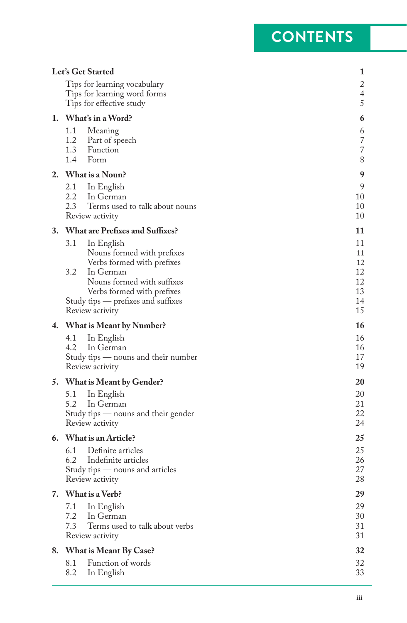## **CONTENTS**

| Tips for learning vocabulary<br>Tips for learning word forms<br>5<br>Tips for effective study<br>1. What's in a Word?<br>6<br>1.1<br>Meaning<br>6<br>1.2 Part of speech<br>1.3 Function<br>1.4<br>Form<br>2. What is a Noun?<br>2.1<br>In English<br>2.2<br>10<br>In German<br>2.3<br>Terms used to talk about nouns<br>10<br>Review activity<br><b>What are Prefixes and Suffixes?</b><br>3.<br>3.1<br>In English<br>Nouns formed with prefixes<br>Verbs formed with prefixes<br>3.2<br>12<br>In German<br>Nouns formed with suffixes<br>Verbs formed with prefixes<br>Study tips — prefixes and suffixes<br>15<br>Review activity<br>4. What is Meant by Number?<br>4.1<br>In English<br>4.2<br>In German<br>16<br>Study tips — nouns and their number<br>Review activity<br>20<br>5. What is Meant by Gender?<br>5.1<br>In English<br>5.2<br>In German<br>22<br>Study tips — nouns and their gender<br>Review activity<br>6. What is an Article?<br>25<br>6.1 Definite articles<br>6.2 Indefinite articles<br>27<br>Study tips - nouns and articles<br>Review activity<br>29<br>7. What is a Verb?<br>7.1<br>In English<br>7.2<br>In German<br>7.3<br>Terms used to talk about verbs<br>31<br>Review activity<br>What is Meant By Case?<br>32<br>8.<br>Function of words<br>8.1<br>32<br>8.2<br>In English |  | Let's Get Started | 1              |
|---------------------------------------------------------------------------------------------------------------------------------------------------------------------------------------------------------------------------------------------------------------------------------------------------------------------------------------------------------------------------------------------------------------------------------------------------------------------------------------------------------------------------------------------------------------------------------------------------------------------------------------------------------------------------------------------------------------------------------------------------------------------------------------------------------------------------------------------------------------------------------------------------------------------------------------------------------------------------------------------------------------------------------------------------------------------------------------------------------------------------------------------------------------------------------------------------------------------------------------------------------------------------------------------------------------|--|-------------------|----------------|
|                                                                                                                                                                                                                                                                                                                                                                                                                                                                                                                                                                                                                                                                                                                                                                                                                                                                                                                                                                                                                                                                                                                                                                                                                                                                                                               |  |                   | $\overline{c}$ |
|                                                                                                                                                                                                                                                                                                                                                                                                                                                                                                                                                                                                                                                                                                                                                                                                                                                                                                                                                                                                                                                                                                                                                                                                                                                                                                               |  |                   | 4              |
|                                                                                                                                                                                                                                                                                                                                                                                                                                                                                                                                                                                                                                                                                                                                                                                                                                                                                                                                                                                                                                                                                                                                                                                                                                                                                                               |  |                   |                |
|                                                                                                                                                                                                                                                                                                                                                                                                                                                                                                                                                                                                                                                                                                                                                                                                                                                                                                                                                                                                                                                                                                                                                                                                                                                                                                               |  |                   |                |
|                                                                                                                                                                                                                                                                                                                                                                                                                                                                                                                                                                                                                                                                                                                                                                                                                                                                                                                                                                                                                                                                                                                                                                                                                                                                                                               |  |                   | $\overline{7}$ |
|                                                                                                                                                                                                                                                                                                                                                                                                                                                                                                                                                                                                                                                                                                                                                                                                                                                                                                                                                                                                                                                                                                                                                                                                                                                                                                               |  |                   | 7              |
|                                                                                                                                                                                                                                                                                                                                                                                                                                                                                                                                                                                                                                                                                                                                                                                                                                                                                                                                                                                                                                                                                                                                                                                                                                                                                                               |  |                   | 8              |
|                                                                                                                                                                                                                                                                                                                                                                                                                                                                                                                                                                                                                                                                                                                                                                                                                                                                                                                                                                                                                                                                                                                                                                                                                                                                                                               |  |                   | 9              |
|                                                                                                                                                                                                                                                                                                                                                                                                                                                                                                                                                                                                                                                                                                                                                                                                                                                                                                                                                                                                                                                                                                                                                                                                                                                                                                               |  |                   | 9              |
|                                                                                                                                                                                                                                                                                                                                                                                                                                                                                                                                                                                                                                                                                                                                                                                                                                                                                                                                                                                                                                                                                                                                                                                                                                                                                                               |  |                   |                |
|                                                                                                                                                                                                                                                                                                                                                                                                                                                                                                                                                                                                                                                                                                                                                                                                                                                                                                                                                                                                                                                                                                                                                                                                                                                                                                               |  |                   | 10             |
|                                                                                                                                                                                                                                                                                                                                                                                                                                                                                                                                                                                                                                                                                                                                                                                                                                                                                                                                                                                                                                                                                                                                                                                                                                                                                                               |  |                   | 11             |
|                                                                                                                                                                                                                                                                                                                                                                                                                                                                                                                                                                                                                                                                                                                                                                                                                                                                                                                                                                                                                                                                                                                                                                                                                                                                                                               |  |                   | 11             |
|                                                                                                                                                                                                                                                                                                                                                                                                                                                                                                                                                                                                                                                                                                                                                                                                                                                                                                                                                                                                                                                                                                                                                                                                                                                                                                               |  |                   | 11             |
|                                                                                                                                                                                                                                                                                                                                                                                                                                                                                                                                                                                                                                                                                                                                                                                                                                                                                                                                                                                                                                                                                                                                                                                                                                                                                                               |  |                   | 12             |
|                                                                                                                                                                                                                                                                                                                                                                                                                                                                                                                                                                                                                                                                                                                                                                                                                                                                                                                                                                                                                                                                                                                                                                                                                                                                                                               |  |                   | 12             |
|                                                                                                                                                                                                                                                                                                                                                                                                                                                                                                                                                                                                                                                                                                                                                                                                                                                                                                                                                                                                                                                                                                                                                                                                                                                                                                               |  |                   | 13             |
|                                                                                                                                                                                                                                                                                                                                                                                                                                                                                                                                                                                                                                                                                                                                                                                                                                                                                                                                                                                                                                                                                                                                                                                                                                                                                                               |  |                   | 14             |
|                                                                                                                                                                                                                                                                                                                                                                                                                                                                                                                                                                                                                                                                                                                                                                                                                                                                                                                                                                                                                                                                                                                                                                                                                                                                                                               |  |                   |                |
|                                                                                                                                                                                                                                                                                                                                                                                                                                                                                                                                                                                                                                                                                                                                                                                                                                                                                                                                                                                                                                                                                                                                                                                                                                                                                                               |  |                   | 16             |
|                                                                                                                                                                                                                                                                                                                                                                                                                                                                                                                                                                                                                                                                                                                                                                                                                                                                                                                                                                                                                                                                                                                                                                                                                                                                                                               |  |                   | 16             |
|                                                                                                                                                                                                                                                                                                                                                                                                                                                                                                                                                                                                                                                                                                                                                                                                                                                                                                                                                                                                                                                                                                                                                                                                                                                                                                               |  |                   | 17             |
|                                                                                                                                                                                                                                                                                                                                                                                                                                                                                                                                                                                                                                                                                                                                                                                                                                                                                                                                                                                                                                                                                                                                                                                                                                                                                                               |  |                   | 19             |
|                                                                                                                                                                                                                                                                                                                                                                                                                                                                                                                                                                                                                                                                                                                                                                                                                                                                                                                                                                                                                                                                                                                                                                                                                                                                                                               |  |                   |                |
|                                                                                                                                                                                                                                                                                                                                                                                                                                                                                                                                                                                                                                                                                                                                                                                                                                                                                                                                                                                                                                                                                                                                                                                                                                                                                                               |  |                   | 20             |
|                                                                                                                                                                                                                                                                                                                                                                                                                                                                                                                                                                                                                                                                                                                                                                                                                                                                                                                                                                                                                                                                                                                                                                                                                                                                                                               |  |                   | 21             |
|                                                                                                                                                                                                                                                                                                                                                                                                                                                                                                                                                                                                                                                                                                                                                                                                                                                                                                                                                                                                                                                                                                                                                                                                                                                                                                               |  |                   | 24             |
|                                                                                                                                                                                                                                                                                                                                                                                                                                                                                                                                                                                                                                                                                                                                                                                                                                                                                                                                                                                                                                                                                                                                                                                                                                                                                                               |  |                   |                |
|                                                                                                                                                                                                                                                                                                                                                                                                                                                                                                                                                                                                                                                                                                                                                                                                                                                                                                                                                                                                                                                                                                                                                                                                                                                                                                               |  |                   | 25             |
|                                                                                                                                                                                                                                                                                                                                                                                                                                                                                                                                                                                                                                                                                                                                                                                                                                                                                                                                                                                                                                                                                                                                                                                                                                                                                                               |  |                   | 26             |
|                                                                                                                                                                                                                                                                                                                                                                                                                                                                                                                                                                                                                                                                                                                                                                                                                                                                                                                                                                                                                                                                                                                                                                                                                                                                                                               |  |                   | 28             |
|                                                                                                                                                                                                                                                                                                                                                                                                                                                                                                                                                                                                                                                                                                                                                                                                                                                                                                                                                                                                                                                                                                                                                                                                                                                                                                               |  |                   |                |
|                                                                                                                                                                                                                                                                                                                                                                                                                                                                                                                                                                                                                                                                                                                                                                                                                                                                                                                                                                                                                                                                                                                                                                                                                                                                                                               |  |                   | 29             |
|                                                                                                                                                                                                                                                                                                                                                                                                                                                                                                                                                                                                                                                                                                                                                                                                                                                                                                                                                                                                                                                                                                                                                                                                                                                                                                               |  |                   | 30             |
|                                                                                                                                                                                                                                                                                                                                                                                                                                                                                                                                                                                                                                                                                                                                                                                                                                                                                                                                                                                                                                                                                                                                                                                                                                                                                                               |  |                   | 31             |
|                                                                                                                                                                                                                                                                                                                                                                                                                                                                                                                                                                                                                                                                                                                                                                                                                                                                                                                                                                                                                                                                                                                                                                                                                                                                                                               |  |                   |                |
|                                                                                                                                                                                                                                                                                                                                                                                                                                                                                                                                                                                                                                                                                                                                                                                                                                                                                                                                                                                                                                                                                                                                                                                                                                                                                                               |  |                   |                |
|                                                                                                                                                                                                                                                                                                                                                                                                                                                                                                                                                                                                                                                                                                                                                                                                                                                                                                                                                                                                                                                                                                                                                                                                                                                                                                               |  |                   | 33             |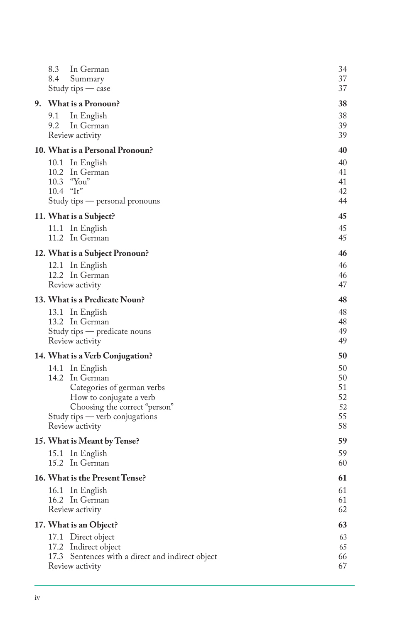| 8.3<br>In German<br>8.4<br>Summary<br>Study tips — case  | 34<br>37<br>37 |
|----------------------------------------------------------|----------------|
| 9. What is a Pronoun?                                    | 38             |
| 9.1<br>In English                                        | 38             |
| 9.2<br>In German                                         | 39             |
| Review activity                                          | 39             |
| <b>10. What is a Personal Pronoun?</b>                   | 40             |
| 10.1 In English                                          | 40             |
| 10.2 In German                                           | 41             |
| 10.3 "You"<br>$10.4$ "It"                                | 41<br>42       |
| Study tips - personal pronouns                           | 44             |
| 11. What is a Subject?                                   | 45             |
| 11.1 In English                                          | 45             |
| 11.2 In German                                           | 45             |
| <b>12. What is a Subject Pronoun?</b>                    | 46             |
| 12.1 In English                                          | 46             |
| 12.2 In German                                           | 46<br>47       |
| Review activity                                          |                |
| <b>13. What is a Predicate Noun?</b>                     | 48             |
| 13.1 In English<br>13.2 In German                        | 48<br>48       |
| Study tips — predicate nouns                             | 49             |
| Review activity                                          | 49             |
| <b>14. What is a Verb Conjugation?</b>                   | 50             |
| 14.1 In English                                          | 50             |
| 14.2 In German                                           | 50             |
| Categories of german verbs                               | 51<br>52       |
| How to conjugate a verb<br>Choosing the correct "person" | 52             |
| Study tips — verb conjugations                           | 55             |
| Review activity                                          | 58             |
| 15. What is Meant by Tense?                              | 59             |
| 15.1 In English                                          | 59             |
| 15.2 In German                                           | 60             |
| 16. What is the Present Tense?                           | 61             |
| 16.1 In English                                          | 61             |
| 16.2 In German<br>Review activity                        | 61<br>62       |
| 17. What is an Object?                                   | 63             |
| Direct object<br>17.1                                    | 63             |
| 17.2<br>Indirect object                                  | 65             |
| 17.3 Sentences with a direct and indirect object         | 66             |
| Review activity                                          | 67             |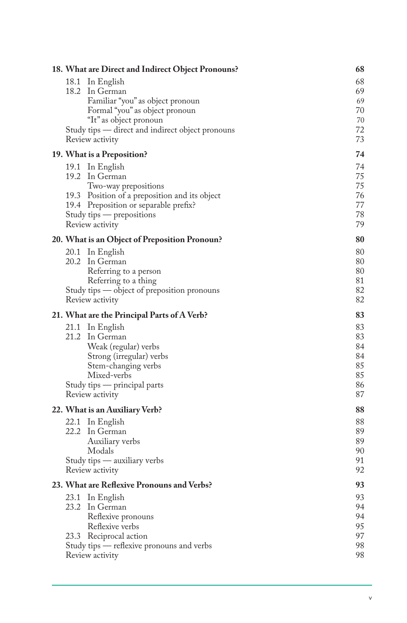| 18. What are Direct and Indirect Object Pronouns? |                                                  |    |  |  |
|---------------------------------------------------|--------------------------------------------------|----|--|--|
|                                                   | 18.1<br>In English                               | 68 |  |  |
|                                                   | 18.2 In German                                   | 69 |  |  |
|                                                   | Familiar "you" as object pronoun                 | 69 |  |  |
|                                                   | Formal "you" as object pronoun                   | 70 |  |  |
|                                                   | "It" as object pronoun                           | 70 |  |  |
|                                                   | Study tips - direct and indirect object pronouns | 72 |  |  |
|                                                   | Review activity                                  | 73 |  |  |
|                                                   | 19. What is a Preposition?                       | 74 |  |  |
|                                                   | 19.1 In English                                  | 74 |  |  |
|                                                   | 19.2 In German                                   | 75 |  |  |
|                                                   | Two-way prepositions                             | 75 |  |  |
|                                                   | 19.3 Position of a preposition and its object    | 76 |  |  |
|                                                   | 19.4 Preposition or separable prefix?            | 77 |  |  |
|                                                   | Study tips — prepositions                        | 78 |  |  |
|                                                   | Review activity                                  | 79 |  |  |
|                                                   | 20. What is an Object of Preposition Pronoun?    | 80 |  |  |
|                                                   | 20.1 In English                                  | 80 |  |  |
|                                                   | 20.2 In German                                   | 80 |  |  |
|                                                   | Referring to a person                            | 80 |  |  |
|                                                   | Referring to a thing                             | 81 |  |  |
|                                                   | Study tips — object of preposition pronouns      | 82 |  |  |
|                                                   | Review activity                                  | 82 |  |  |
|                                                   | 21. What are the Principal Parts of A Verb?      | 83 |  |  |
|                                                   | 21.1 In English                                  | 83 |  |  |
|                                                   | 21.2 In German                                   | 83 |  |  |
|                                                   | Weak (regular) verbs                             | 84 |  |  |
|                                                   | Strong (irregular) verbs                         | 84 |  |  |
|                                                   | Stem-changing verbs                              | 85 |  |  |
|                                                   | Mixed-verbs                                      | 85 |  |  |
|                                                   | Study tips - principal parts                     | 86 |  |  |
|                                                   | Review activity                                  | 87 |  |  |
|                                                   | 22. What is an Auxiliary Verb?                   | 88 |  |  |
|                                                   | 22.1 In English                                  | 88 |  |  |
|                                                   | 22.2 In German                                   | 89 |  |  |
|                                                   | Auxiliary verbs                                  | 89 |  |  |
|                                                   | Modals                                           | 90 |  |  |
|                                                   | Study tips - auxiliary verbs                     | 91 |  |  |
|                                                   | Review activity                                  | 92 |  |  |
|                                                   | 23. What are Reflexive Pronouns and Verbs?       | 93 |  |  |
|                                                   | 23.1 In English                                  | 93 |  |  |
|                                                   | 23.2 In German                                   | 94 |  |  |
|                                                   | Reflexive pronouns                               | 94 |  |  |
|                                                   | Reflexive verbs                                  | 95 |  |  |
|                                                   | 23.3 Reciprocal action                           | 97 |  |  |
|                                                   | Study tips — reflexive pronouns and verbs        | 98 |  |  |
|                                                   | Review activity                                  | 98 |  |  |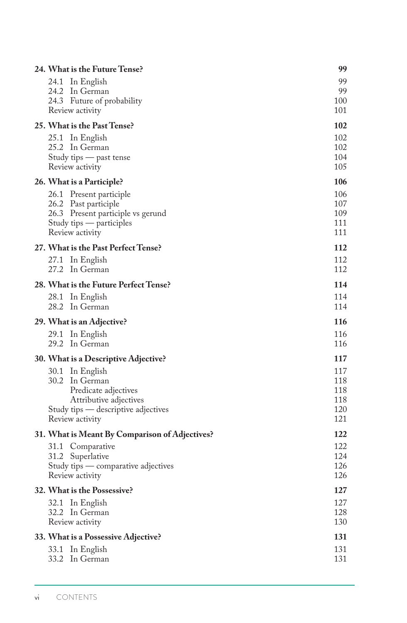| 24. What is the Future Tense?                                                                                                                 | 99                                     |
|-----------------------------------------------------------------------------------------------------------------------------------------------|----------------------------------------|
| 24.1<br>In English<br>24.2 In German<br>24.3 Future of probability<br>Review activity                                                         | 99<br>99<br>100<br>101                 |
| 25. What is the Past Tense?                                                                                                                   | 102                                    |
| 25.1 In English<br>25.2 In German<br>Study tips — past tense<br>Review activity                                                               | 102<br>102<br>104<br>105               |
| 26. What is a Participle?                                                                                                                     | 106                                    |
| 26.1 Present participle<br>26.2 Past participle<br>26.3 Present participle vs gerund<br>Study tips — participles<br>Review activity           | 106<br>107<br>109<br>111<br>111        |
| 27. What is the Past Perfect Tense?                                                                                                           | 112                                    |
| 27.1 In English<br>27.2<br>In German                                                                                                          | 112<br>112                             |
| 28. What is the Future Perfect Tense?                                                                                                         | 114                                    |
| 28.1 In English<br>28.2<br>In German                                                                                                          | 114<br>114                             |
| 29. What is an Adjective?                                                                                                                     | 116                                    |
| 29.1 In English<br>29.2 In German                                                                                                             | 116<br>116                             |
| <b>30. What is a Descriptive Adjective?</b>                                                                                                   | 117                                    |
| 30.1 In English<br>30.2 In German<br>Predicate adjectives<br>Attributive adjectives<br>Study tips — descriptive adjectives<br>Review activity | 117<br>118<br>118<br>118<br>120<br>121 |
| 31. What is Meant By Comparison of Adjectives?                                                                                                | 122                                    |
| 31.1 Comparative<br>31.2 Superlative<br>Study tips — comparative adjectives<br>Review activity                                                | 122<br>124<br>126<br>126               |
| 32. What is the Possessive?                                                                                                                   | 127                                    |
| 32.1 In English<br>32.2 In German<br>Review activity                                                                                          | 127<br>128<br>130                      |
| 33. What is a Possessive Adjective?                                                                                                           | 131                                    |
| 33.1 In English<br>33.2 In German                                                                                                             | 131<br>131                             |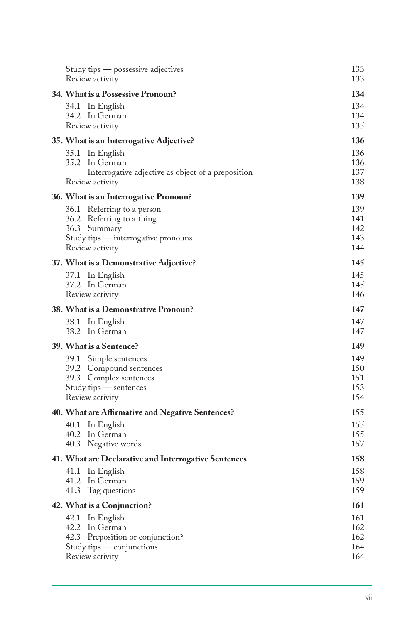| Study tips — possessive adjectives<br>Review activity                                                                             | 133<br>133                      |
|-----------------------------------------------------------------------------------------------------------------------------------|---------------------------------|
| <b>34. What is a Possessive Pronoun?</b>                                                                                          | 134                             |
| 34.1 In English<br>34.2 In German<br>Review activity                                                                              | 134<br>134<br>135               |
| 35. What is an Interrogative Adjective?                                                                                           | 136                             |
| 35.1 In English<br>35.2 In German<br>Interrogative adjective as object of a preposition<br>Review activity                        | 136<br>136<br>137<br>138        |
| 36. What is an Interrogative Pronoun?                                                                                             | 139                             |
| 36.1 Referring to a person<br>36.2 Referring to a thing<br>36.3 Summary<br>Study tips — interrogative pronouns<br>Review activity | 139<br>141<br>142<br>143<br>144 |
| 37. What is a Demonstrative Adjective?                                                                                            | 145                             |
| 37.1 In English<br>37.2 In German<br>Review activity                                                                              | 145<br>145<br>146               |
| 38. What is a Demonstrative Pronoun?                                                                                              | 147                             |
| 38.1 In English<br>38.2 In German                                                                                                 | 147<br>147                      |
| 39. What is a Sentence?                                                                                                           | 149                             |
| 39.1 Simple sentences<br>39.2 Compound sentences<br>39.3 Complex sentences<br>Study tips — sentences<br>Review activity           | 149<br>150<br>151<br>153<br>154 |
| 40. What are Affirmative and Negative Sentences?                                                                                  | 155                             |
| 40.1 In English<br>40.2 In German<br>40.3<br>Negative words                                                                       | 155<br>155<br>157               |
| 41. What are Declarative and Interrogative Sentences                                                                              | 158                             |
| 41.1<br>In English<br>41.2<br>In German<br>41.3<br>Tag questions                                                                  | 158<br>159<br>159               |
| 42. What is a Conjunction?                                                                                                        | 161                             |
| 42.1 In English<br>42.2 In German<br>42.3 Preposition or conjunction?<br>Study tips — conjunctions<br>Review activity             | 161<br>162<br>162<br>164<br>164 |